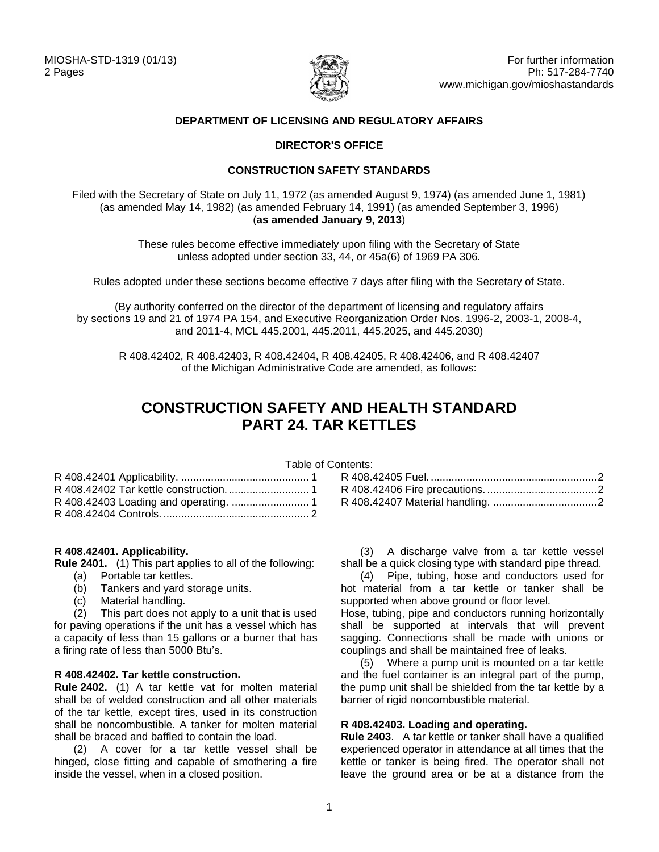

## **DEPARTMENT OF LICENSING AND REGULATORY AFFAIRS**

## **DIRECTOR'S OFFICE**

#### **CONSTRUCTION SAFETY STANDARDS**

Filed with the Secretary of State on July 11, 1972 (as amended August 9, 1974) (as amended June 1, 1981) (as amended May 14, 1982) (as amended February 14, 1991) (as amended September 3, 1996) (**as amended January 9, 2013**)

> These rules become effective immediately upon filing with the Secretary of State unless adopted under section 33, 44, or 45a(6) of 1969 PA 306.

Rules adopted under these sections become effective 7 days after filing with the Secretary of State.

(By authority conferred on the director of the department of licensing and regulatory affairs by sections 19 and 21 of 1974 PA 154, and Executive Reorganization Order Nos. 1996-2, 2003-1, 2008-4, and 2011-4, MCL 445.2001, 445.2011, 445.2025, and 445.2030)

R 408.42402, R 408.42403, R 408.42404, R 408.42405, R 408.42406, and R 408.42407 of the Michigan Administrative Code are amended, as follows:

# **CONSTRUCTION SAFETY AND HEALTH STANDARD PART 24. TAR KETTLES**

Table of Contents:

#### <span id="page-0-0"></span>**R 408.42401. Applicability.**

**Rule 2401.** (1) This part applies to all of the following:

- (a) Portable tar kettles.
- (b) Tankers and yard storage units.
- (c) Material handling.

(2) This part does not apply to a unit that is used for paving operations if the unit has a vessel which has a capacity of less than 15 gallons or a burner that has a firing rate of less than 5000 Btu's.

#### <span id="page-0-1"></span>**R 408.42402. Tar kettle construction.**

**Rule 2402.** (1) A tar kettle vat for molten material shall be of welded construction and all other materials of the tar kettle, except tires, used in its construction shall be noncombustible. A tanker for molten material shall be braced and baffled to contain the load.

(2) A cover for a tar kettle vessel shall be hinged, close fitting and capable of smothering a fire inside the vessel, when in a closed position.

| . |  |
|---|--|
|   |  |
|   |  |
|   |  |
|   |  |

(3) A discharge valve from a tar kettle vessel shall be a quick closing type with standard pipe thread.

(4) Pipe, tubing, hose and conductors used for hot material from a tar kettle or tanker shall be supported when above ground or floor level.

Hose, tubing, pipe and conductors running horizontally shall be supported at intervals that will prevent sagging. Connections shall be made with unions or couplings and shall be maintained free of leaks.

(5) Where a pump unit is mounted on a tar kettle and the fuel container is an integral part of the pump, the pump unit shall be shielded from the tar kettle by a barrier of rigid noncombustible material.

#### <span id="page-0-2"></span>**R 408.42403. Loading and operating.**

**Rule 2403**. A tar kettle or tanker shall have a qualified experienced operator in attendance at all times that the kettle or tanker is being fired. The operator shall not leave the ground area or be at a distance from the